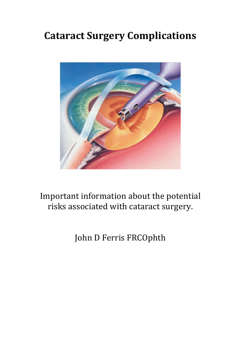## **Cataract Surgery Complications**



## Important information about the potential risks associated with cataract surgery.

John D Ferris FRCOphth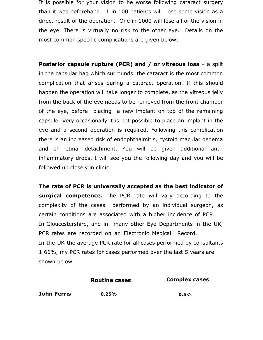It is possible for your vision to be worse following cataract surgery than it was beforehand. 1 in 100 patients will lose some vision as a direct result of the operation. One in 1000 will lose all of the vision in the eye. There is virtually no risk to the other eye. Details on the most common specific complications are given below;

**Posterior capsule rupture (PCR) and / or vitreous loss** - a split in the capsular bag which surrounds the cataract is the most common complication that arises during a cataract operation. If this should happen the operation will take longer to complete, as the vitreous jelly from the back of the eye needs to be removed from the front chamber of the eye, before placing a new implant on top of the remaining capsule. Very occasionally it is not possible to place an implant in the eye and a second operation is required. Following this complication there is an increased risk of endophthalmitis, cystoid macular oedema and of retinal detachment. You will be given additional antiinflammatory drops, I will see you the following day and you will be followed up closely in clinic.

**The rate of PCR is universally accepted as the best indicator of surgical competence.** The PCR rate will vary according to the complexity of the cases performed by an individual surgeon, as certain conditions are associated with a higher incidence of PCR. In Gloucestershire, and in many other Eye Departments in the UK, PCR rates are recorded on an Electronic Medical Record. In the UK the average PCR rate for all cases performed by consultants 1.66%, my PCR rates for cases performed over the last 5 years are shown below.

**Routine cases Complex cases**

**John Ferris 0.25% 0.5%**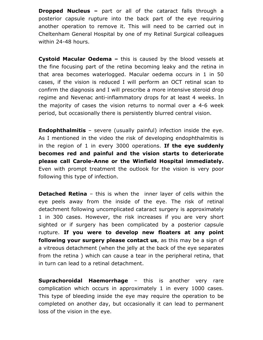**Dropped Nucleus –** part or all of the cataract falls through a posterior capsule rupture into the back part of the eye requiring another operation to remove it. This will need to be carried out in Cheltenham General Hospital by one of my Retinal Surgical colleagues within 24-48 hours.

**Cystoid Macular Oedema –** this is caused by the blood vessels at the fine focusing part of the retina becoming leaky and the retina in that area becomes waterlogged. Macular oedema occurs in 1 in 50 cases, if the vision is reduced I will perform an OCT retinal scan to confirm the diagnosis and I will prescribe a more intensive steroid drop regime and Nevenac anti-inflammatory drops for at least 4 weeks. In the majority of cases the vision returns to normal over a 4-6 week period, but occasionally there is persistently blurred central vision.

**Endophthalmitis** – severe (usually painful) infection inside the eye. As I mentioned in the video the risk of developing endophthalmitis is in the region of 1 in every 3000 operations. **If the eye suddenly becomes red and painful and the vision starts to deteriorate please call Carole-Anne or the Winfield Hospital immediately.** Even with prompt treatment the outlook for the vision is very poor following this type of infection.

**Detached Retina** – this is when the inner layer of cells within the eye peels away from the inside of the eye. The risk of retinal detachment following uncomplicated cataract surgery is approximately 1 in 300 cases. However, the risk increases if you are very short sighted or if surgery has been complicated by a posterior capsule rupture. **If you were to develop new floaters at any point following your surgery please contact us**, as this may be a sign of a vitreous detachment (when the jelly at the back of the eye separates from the retina ) which can cause a tear in the peripheral retina, that in turn can lead to a retinal detachment.

**Suprachoroidal Haemorrhage** – this is another very rare complication which occurs in approximately 1 in every 1000 cases. This type of bleeding inside the eye may require the operation to be completed on another day, but occasionally it can lead to permanent loss of the vision in the eye.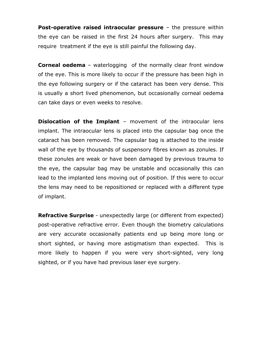**Post-operative raised intraocular pressure** – the pressure within the eye can be raised in the first 24 hours after surgery. This may require treatment if the eye is still painful the following day.

**Corneal oedema** – waterlogging of the normally clear front window of the eye. This is more likely to occur if the pressure has been high in the eye following surgery or if the cataract has been very dense. This is usually a short lived phenomenon, but occasionally corneal oedema can take days or even weeks to resolve.

**Dislocation of the Implant** – movement of the intraocular lens implant. The intraocular lens is placed into the capsular bag once the cataract has been removed. The capsular bag is attached to the inside wall of the eye by thousands of suspensory fibres known as zonules. If these zonules are weak or have been damaged by previous trauma to the eye, the capsular bag may be unstable and occasionally this can lead to the implanted lens moving out of position. If this were to occur the lens may need to be repositioned or replaced with a different type of implant.

**Refractive Surprise** *-* unexpectedly large (or different from expected) post-operative refractive error. Even though the biometry calculations are very accurate occasionally patients end up being more long or short sighted, or having more astigmatism than expected. This is more likely to happen if you were very short-sighted, very long sighted, or if you have had previous laser eye surgery.